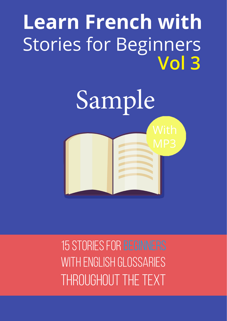# **Learn French with** Stories for Beginners **Vol 3**



15 stories for Beginners with English Glossaries throughout the text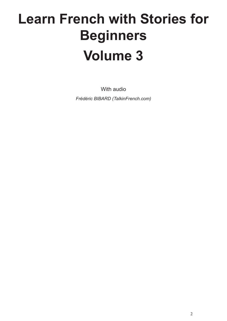# **Learn French with Stories for Beginners Volume 3**

With audio *Frédéric BIBARD (TalkinFrench.com)*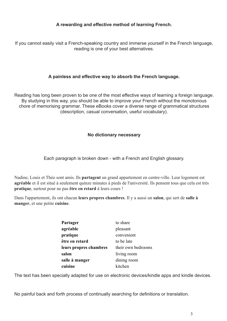#### **A rewarding and effective method of learning French.**

If you cannot easily visit a French-speaking country and immerse yourself in the French language, reading is one of your best alternatives.

#### **A painless and effective way to absorb the French language.**

Reading has long been proven to be one of the most effective ways of learning a foreign language. By studying in this way, you should be able to improve your French without the monotonous chore of memorising grammar. These eBooks cover a diverse range of grammatical structures (description, casual conversation, useful vocabulary).

#### **No dictionary necessary**

Each paragraph is broken down - with a French and English glossary.

Nadine, Louis et Théo sont amis. Ils **partagent** un grand appartement en centre-ville. Leur logement est **agréable** et il est situé à seulement quinze minutes à pieds de l'université. Ils pensent tous que cela est très **pratique**, surtout pour ne pas **être en retard** à leurs cours !

Dans l'appartement, ils ont chacun **leurs propres chambres**. Il y a aussi un **salon**, qui sert de **salle à manger**, et une petite **cuisine**.

| Partager               | to share           |
|------------------------|--------------------|
| agréable               | pleasant           |
| pratique               | convenient         |
| être en retard         | to be late         |
| leurs propres chambres | their own bedrooms |
| salon                  | living room        |
| salle à manger         | dining room        |
| cuisine                | kitchen            |

The text has been specially adapted for use on electronic devices/kindle apps and kindle devices.

No painful back and forth process of continually searching for definitions or translation.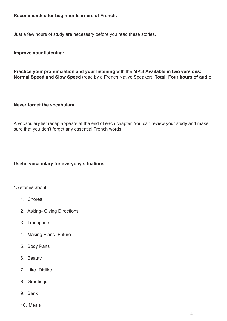#### **Recommended for beginner learners of French.**

Just a few hours of study are necessary before you read these stories.

**Improve your listening:**

**Practice your pronunciation and your listening** with the **MP3! Available in two versions: Normal Speed and Slow Speed** (read by a French Native Speaker). **Total: Four hours of audio.**

#### **Never forget the vocabulary.**

A vocabulary list recap appears at the end of each chapter. You can review your study and make sure that you don't forget any essential French words.

#### **Useful vocabulary for everyday situations**:

15 stories about:

- 1. Chores
- 2. Asking- Giving Directions
- 3. Transports
- 4. Making Plans- Future
- 5. Body Parts
- 6. Beauty
- 7. Like- Dislike
- 8. Greetings
- 9. Bank
- 10. Meals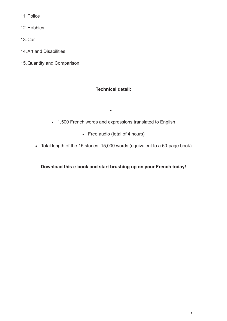11. Police

12.Hobbies

13.Car

- 14.Art and Disabilities
- 15.Quantity and Comparison

### **Technical detail:**

• 1,500 French words and expressions translated to English

• 

- • Free audio (total of 4 hours)
- • Total length of the 15 stories: 15,000 words (equivalent to a 60-page book)

**Download this e-book and start brushing up on your French today!**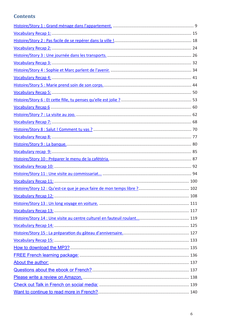# **Contents**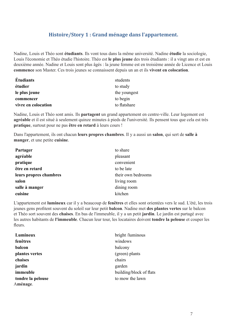## **Histoire/Story 1 : Grand ménage dans l'appartement.**

Nadine, Louis et Théo sont **étudiants**. Ils vont tous dans la même université. Nadine **étudie** la sociologie, Louis l'économie et Théo étudie l'histoire. Théo est **le plus jeune** des trois étudiants : il a vingt ans et est en deuxième année. Nadine et Louis sont plus âgés : la jeune femme est en troisième année de Licence et Louis **commence** son Master. Ces trois jeunes se connaissent depuis un an et ils **vivent en colocation**.

| <b>Étudiants</b>    | students     |
|---------------------|--------------|
| étudier             | to study     |
| le plus jeune       | the youngest |
| commencer           | to begin     |
| vivre en colocation | to flatshare |

Nadine, Louis et Théo sont amis. Ils **partagent** un grand appartement en centre-ville. Leur logement est **agréable** et il est situé à seulement quinze minutes à pieds de l'université. Ils pensent tous que cela est très **pratique**, surtout pour ne pas **être en retard** à leurs cours !

Dans l'appartement, ils ont chacun **leurs propres chambres**. Il y a aussi un **salon**, qui sert de **salle à manger**, et une petite **cuisine**.

| Partager               | to share           |
|------------------------|--------------------|
| agréable               | pleasant           |
| pratique               | convenient         |
| être en retard         | to be late         |
| leurs propres chambres | their own bedrooms |
| salon                  | living room        |
| salle à manger         | dining room        |
| cuisine                | kitchen            |

L'appartement est **lumineux** car il y a beaucoup de **fenêtres** et elles sont orientées vers le sud. L'été, les trois jeunes gens profitent souvent du soleil sur leur petit **balcon**. Nadine met **des plantes vertes** sur le balcon et Théo sort souvent des **chaises**. En bas de l'immeuble, il y a un petit **jardin**. Le jardin est partagé avec les autres habitants de **l'immeuble**. Chacun leur tour, les locataires doivent **tondre la pelouse** et couper les fleurs.

| bright /luminous        |
|-------------------------|
| windows                 |
| balcony                 |
| (green) plants          |
| chairs                  |
| garden                  |
| building/block of flats |
| to mow the lawn         |
|                         |
|                         |